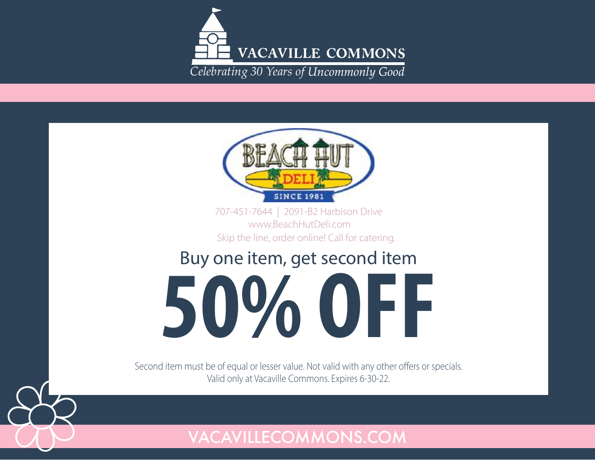



707-451-7644 | 2091-B2 Harbison Drive www.BeachHutDeli.com Skip the line, order online! Call for catering.

## Buy one item, get second item

**50% OFF** 

Second item must be of equal or lesser value. Not valid with any other offers or specials. Valid only at Vacaville Commons. Expires 6-30-22.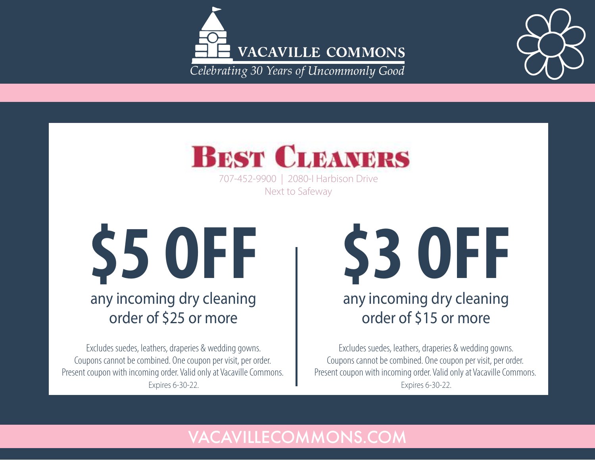





707-452-9900 | 2080-I Harbison Drive Next to Safeway

**\$5 OFF** any incoming dry cleaning

## order of \$25 or more

Excludes suedes, leathers, draperies & wedding gowns. Coupons cannot be combined. One coupon per visit, per order. Present coupon with incoming order. Valid only at Vacaville Commons. Expires 6-30-22.

**\$3 OFF** 

## any incoming dry cleaning order of \$15 or more

Excludes suedes, leathers, draperies & wedding gowns. Coupons cannot be combined. One coupon per visit, per order. Present coupon with incoming order. Valid only at Vacaville Commons. Expires 6-30-22.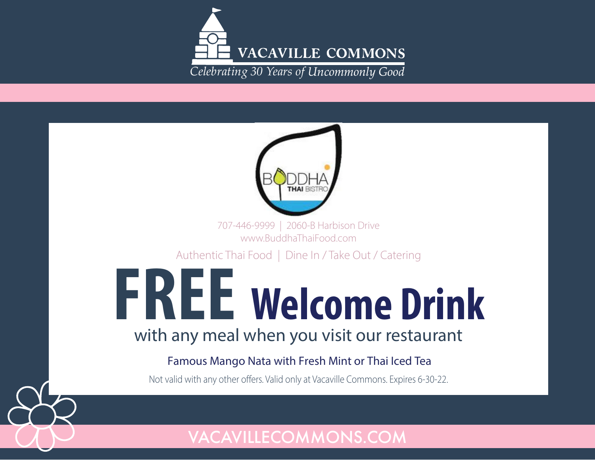

| 707-446-9999   2060-B Harbison Drive<br>www.BuddhaThaiFood.com                     |
|------------------------------------------------------------------------------------|
| Authentic Thai Food   Dine In / Take Out / Catering                                |
| <b>FREE Welcome Drink</b>                                                          |
| with any meal when you visit our restaurant                                        |
| Famous Mango Nata with Fresh Mint or Thai Iced Tea                                 |
| Not valid with any other offers. Valid only at Vacaville Commons. Expires 6-30-22. |
|                                                                                    |
|                                                                                    |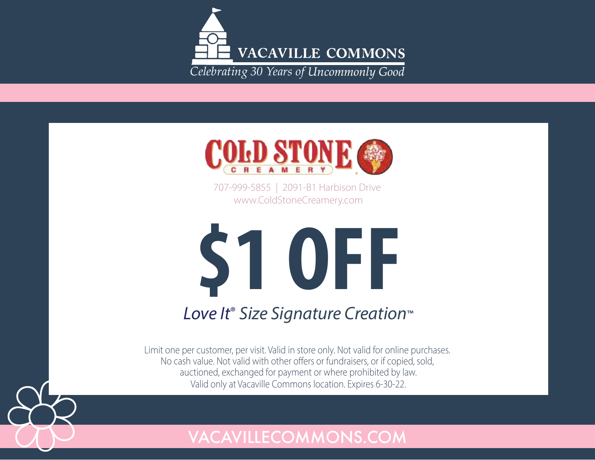



707-999-5855 | 2091-B1 Harbison Drive www.ColdStoneCreamery.com



## Love It<sup>®</sup> Size Signature Creation<sup>™</sup>

Limit one per customer, per visit. Valid in store only. Not valid for online purchases. No cash value. Not valid with other offers or fundraisers, or if copied, sold, auctioned, exchanged for payment or where prohibited by law. Valid only at Vacaville Commons location. Expires 6-30-22.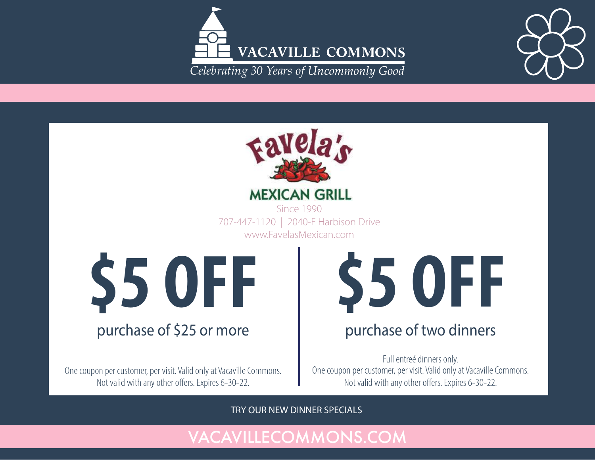





**MEXICAN GRILL** Since 1990

www.FavelasMexican.com

 $\textcolor{red}{\textbf{55}} \textcolor{red}{\textbf{56}} \textcolor{red}{\textbf{57}} \textcolor{red}{\textbf{67}} \textcolor{red}{\textbf{68}} \textcolor{red}{\textbf{707-447-1120} \textcolor{red}{\textbf{1}\textbf{2040-F Hartbison Drive}}$ \$5 OFF | \$5 OFF

### purchase of \$25 or more

One coupon per customer, per visit. Valid only at Vacaville Commons. Not valid with any other offers. Expires 6-30-22.

## every door direct mail no mailing list needed (min. 1,000 postcards) 707-447-1120 | 2040-F Harbison Drive<br>
www.FavelasMexican.com<br>  $\begin{array}{ccc}\n\bullet & \bullet & \bullet \\
\bullet & \bullet & \bullet\n\end{array}$

#### hase of two dinn purchase of two dinners<br>

One coupon per customer, per visit. Valid only at Vacaville Commons.<br>Not valid with any other offers. Expires 6-30-22. Not valid with any other offers. Expires 6-30-22. Full entreé dinners only.

TRY OUR NEW DINNER SPECIALS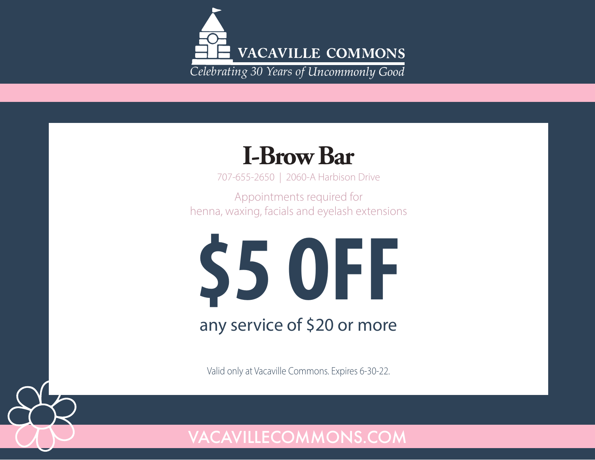

## **I-BrowBar**

707-655-2650 | 2060-A Harbison Drive

Appointments required for henna, waxing, facials and eyelash extensions



Valid only at Vacaville Commons. Expires 6-30-22.

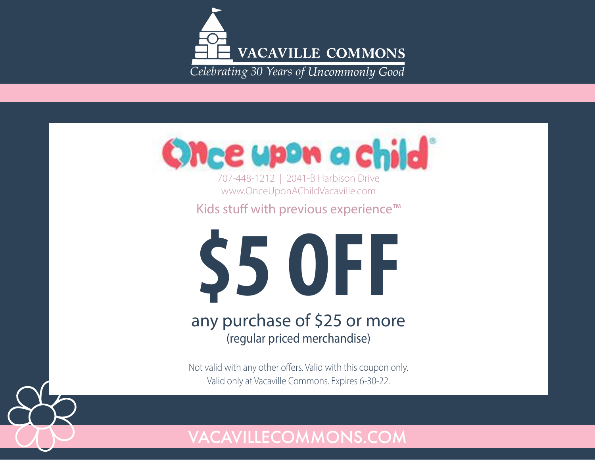



707-448-1212 | 2041-B Harbison Drive www.OnceUponAChildVacaville.com

Kids stuff with previous experience™



#### any purchase of \$25 or more (regular priced merchandise)

Not valid with any other offers. Valid with this coupon only. Valid only at Vacaville Commons. Expires 6-30-22.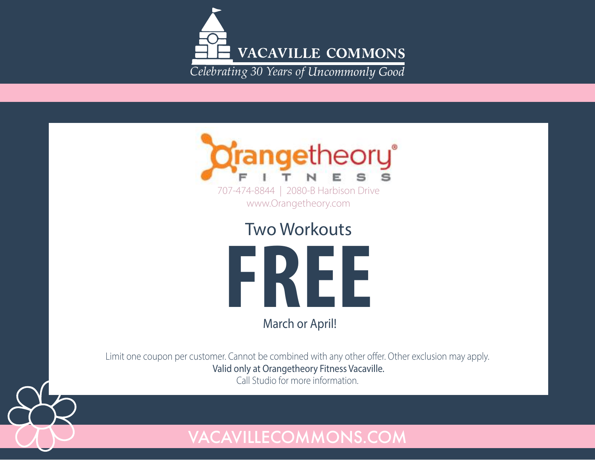



Two Workouts

FREE

March or April!

Limit one coupon per customer. Cannot be combined with any other offer. Other exclusion may apply. Valid only at Orangetheory Fitness Vacaville.

Call Studio for more information.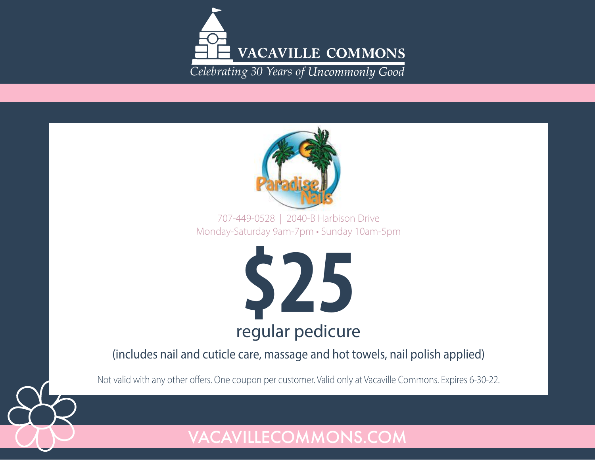



Monday-Saturday 9am-7pm • Sunday 10am-5pm 707-449-0528 | 2040-B Harbison Drive



(includes nail and cuticle care, massage and hot towels, nail polish applied)

Not valid with any other offers. One coupon per customer. Valid only at Vacaville Commons. Expires 6-30-22.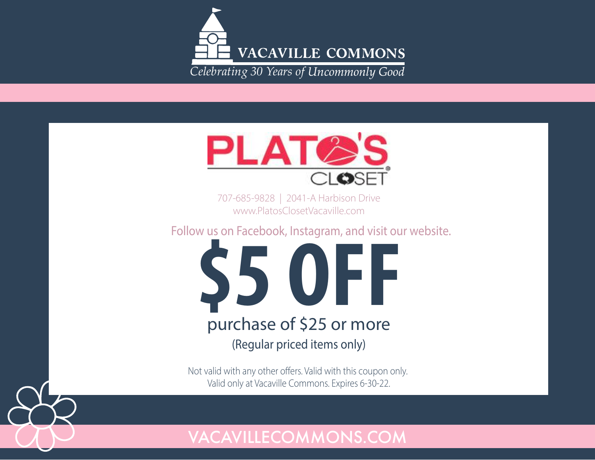



707-685-9828 | 2041-A Harbison Drive www.PlatosClosetVacaville.com

Follow us on Facebook, Instagram, and visit our website.



Not valid with any other offers. Valid with this coupon only. Valid only at Vacaville Commons. Expires 6-30-22.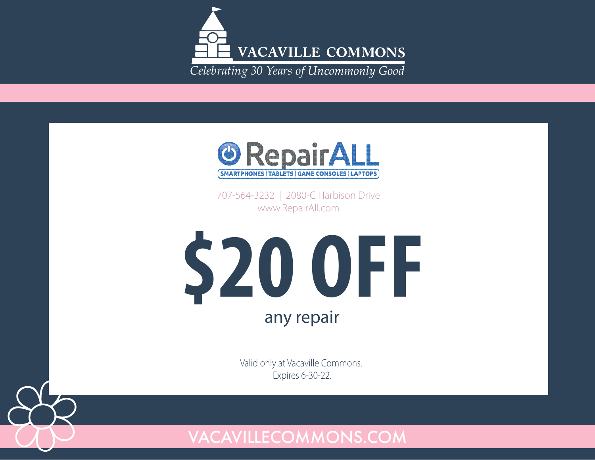



707-564-3232 | 2080-C Harbison Drive www.RepairAll.com



Valid only at Vacaville Commons. Expires 6-30-22.

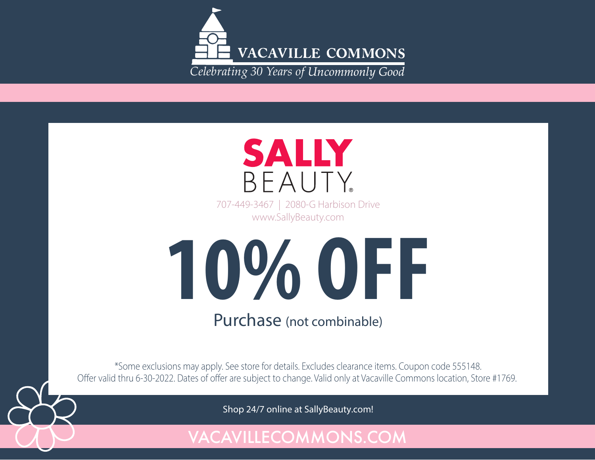



707-449-3467 | 2080-G Harbison Drive www.SallyBeauty.com



\*Some exclusions may apply. See store for details. Excludes clearance items. Coupon code 555148. Offer valid thru 6-30-2022. Dates of offer are subject to change. Valid only at Vacaville Commons location, Store #1769.

Shop 24/7 online at SallyBeauty.com!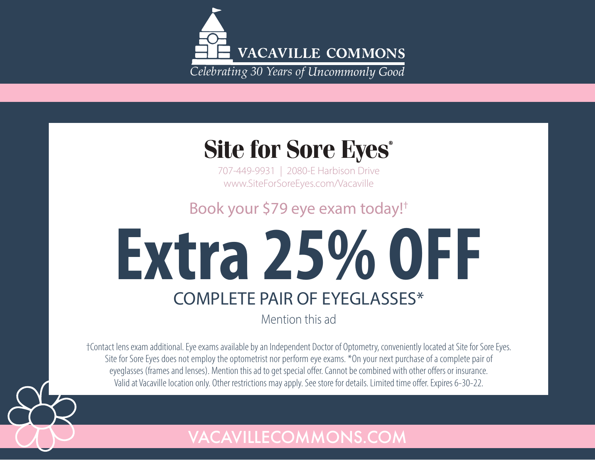

## **Site for Sore Eves<sup>®</sup>**

707-449-9931 | 2080-E Harbison Drive www.SiteForSoreEyes.com/Vacaville

Book your \$79 eye exam today!†

## **Extra 25% OFF** COMPLETE PAIR OF EYEGLASSES\*

Mention this ad

†Contact lens exam additional. Eye exams available by an Independent Doctor of Optometry, conveniently located at Site for Sore Eyes. Site for Sore Eyes does not employ the optometrist nor perform eye exams. \*On your next purchase of a complete pair of eyeglasses (frames and lenses). Mention this ad to get special offer. Cannot be combined with other offers or insurance. Valid at Vacaville location only. Other restrictions may apply. See store for details. Limited time offer. Expires 6-30-22.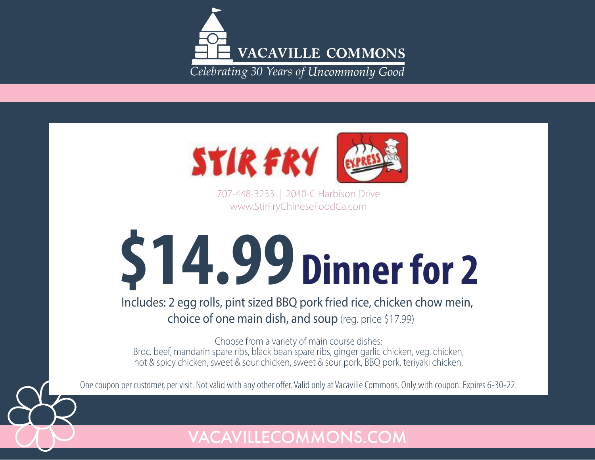



707-448-3233 | 2040-C Harbison Drive www.StirFryChineseFoodCa.com

# \$14.99 Dinner for 2

Includes: 2 egg rolls, pint sized BBQ pork fried rice, chicken chow mein, choice of one main dish, and soup (reg. price \$17.99)

Choose from a variety of main course dishes: Broc. beef, mandarin spare ribs, black bean spare ribs, ginger garlic chicken, veg. chicken, hot & spicy chicken, sweet & sour chicken, sweet & sour pork, BBQ pork, teriyaki chicken.

One coupon per customer, per visit. Not valid with any other offer. Valid only at Vacaville Commons. Only with coupon. Expires 6-30-22.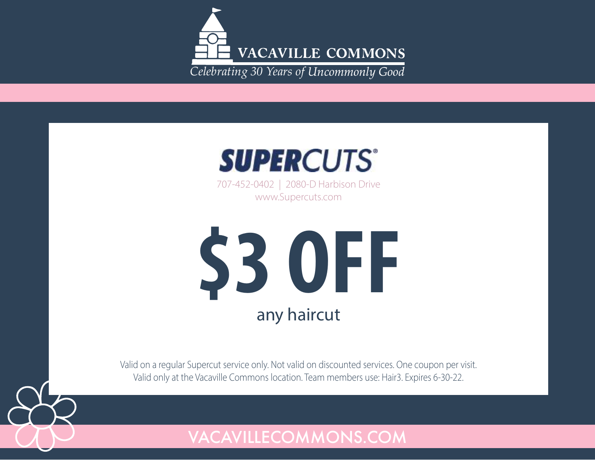



707-452-0402 | 2080-D Harbison Drive www.Supercuts.com



Valid on a regular Supercut service only. Not valid on discounted services. One coupon per visit. Valid only at the Vacaville Commons location. Team members use: Hair3. Expires 6-30-22.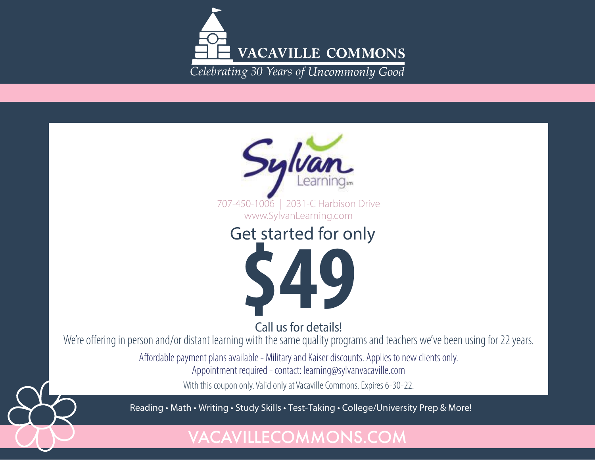

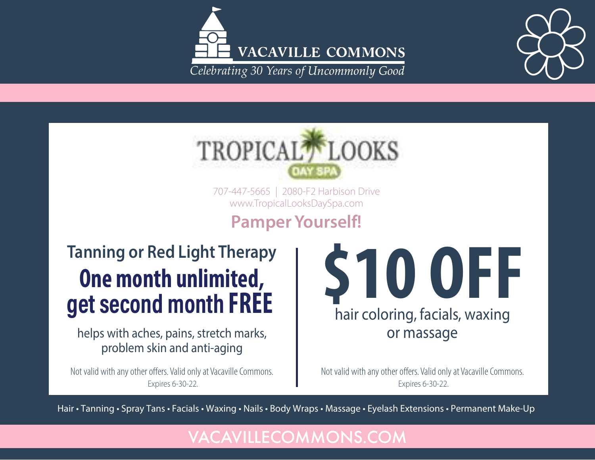



707-447-5665 | 2080-F2 Harbison Drive www.TropicalLooksDaySpa.com

## **Pamper Yourself!**

## One month unlimited, S10 OFF E **Tanning or Red Light Therapy**

helps with aches, pains, stretch marks, problem skin and anti-aging

Not valid with any other offers. Valid only at Vacaville Commons. Expires 6-30-22.

hair coloring, facials, waxing or massage

Not valid with any other offers. Valid only at Vacaville Commons. Expires 6-30-22.

Hair • Tanning • Spray Tans • Facials • Waxing • Nails • Body Wraps • Massage • Eyelash Extensions • Permanent Make-Up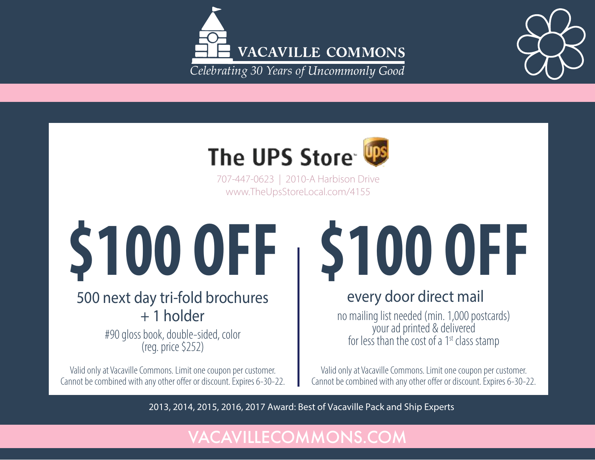





707-447-0623 | 2010-A Harbison Drive www.TheUpsStoreLocal.com/4155

## \$100 OFF

### 500 next day tri-fold brochures  $+ 1$  holder

#90 gloss book, double-sided, color (reg. price \$252)

Valid only at Vacaville Commons. Limit one coupon per customer. Cannot be combined with any other offer or discount. Expires 6-30-22.

## **\$100 OFF**

## every door direct mail

no mailing list needed (min. 1,000 postcards) your ad printed & delivered for less than the cost of a 1<sup>st</sup> class stamp

Valid only at Vacaville Commons. Limit one coupon per customer. Cannot be combined with any other offer or discount. Expires 6-30-22.

2013, 2014, 2015, 2016, 2017 Award: Best of Vacaville Pack and Ship Experts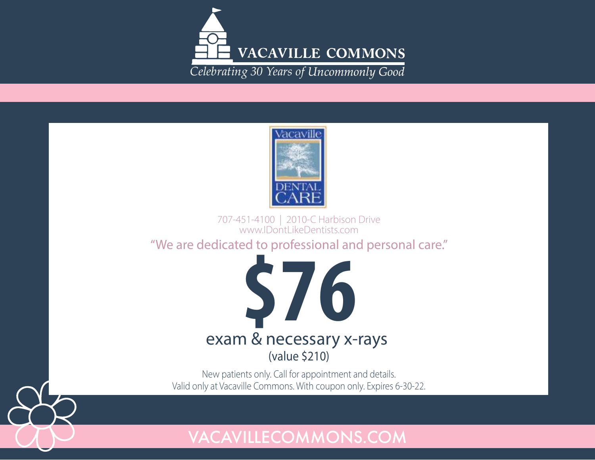



707-451-4100 | 2010-C Harbison Drive www.IDontLikeDentists.com

"We are dedicated to professional and personal care."



New patients only. Call for appointment and details. Valid only at Vacaville Commons. With coupon only. Expires 6-30-22.